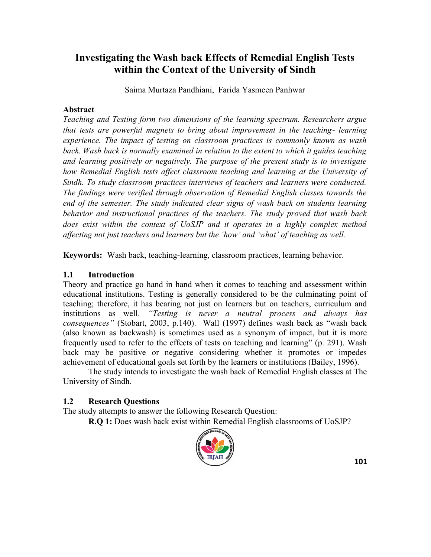Saima Murtaza Pandhiani, Farida Yasmeen Panhwar

### **Abstract**

*Teaching and Testing form two dimensions of the learning spectrum. Researchers argue that tests are powerful magnets to bring about improvement in the teaching- learning experience. The impact of testing on classroom practices is commonly known as wash*  back. Wash back is normally examined in relation to the extent to which it guides teaching *and learning positively or negatively. The purpose of the present study is to investigate how Remedial English tests affect classroom teaching and learning at the University of Sindh. To study classroom practices interviews of teachers and learners were conducted. The findings were verified through observation of Remedial English classes towards the end of the semester. The study indicated clear signs of wash back on students learning behavior and instructional practices of the teachers. The study proved that wash back does exist within the context of UoSJP and it operates in a highly complex method affecting not just teachers and learners but the ‗how' and ‗what' of teaching as well.*

**Keywords:** Wash back, teaching-learning, classroom practices, learning behavior.

## **1.1 Introduction**

Theory and practice go hand in hand when it comes to teaching and assessment within educational institutions. Testing is generally considered to be the culminating point of teaching; therefore, it has bearing not just on learners but on teachers, curriculum and institutions as well. *"Testing is never a neutral process and always has consequences*" (Stobart, 2003, p.140). Wall (1997) defines wash back as "wash back (also known as backwash) is sometimes used as a synonym of impact, but it is more frequently used to refer to the effects of tests on teaching and learning" (p. 291). Wash back may be positive or negative considering whether it promotes or impedes achievement of educational goals set forth by the learners or institutions (Bailey, 1996).

The study intends to investigate the wash back of Remedial English classes at The University of Sindh.

## **1.2 Research Questions**

The study attempts to answer the following Research Question:

**R.Q 1:** Does wash back exist within Remedial English classrooms of UoSJP?

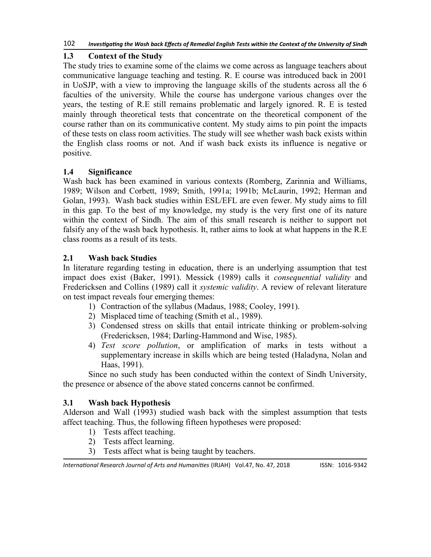## **1.3 Context of the Study**

The study tries to examine some of the claims we come across as language teachers about communicative language teaching and testing. R. E course was introduced back in 2001 in UoSJP, with a view to improving the language skills of the students across all the 6 faculties of the university. While the course has undergone various changes over the years, the testing of R.E still remains problematic and largely ignored. R. E is tested mainly through theoretical tests that concentrate on the theoretical component of the course rather than on its communicative content. My study aims to pin point the impacts of these tests on class room activities. The study will see whether wash back exists within the English class rooms or not. And if wash back exists its influence is negative or positive.

## **1.4 Significance**

Wash back has been examined in various contexts (Romberg, Zarinnia and Williams, 1989; Wilson and Corbett, 1989; Smith, 1991a; 1991b; McLaurin, 1992; Herman and Golan, 1993). Wash back studies within ESL/EFL are even fewer. My study aims to fill in this gap. To the best of my knowledge, my study is the very first one of its nature within the context of Sindh. The aim of this small research is neither to support not falsify any of the wash back hypothesis. It, rather aims to look at what happens in the R.E class rooms as a result of its tests.

## **2.1 Wash back Studies**

In literature regarding testing in education, there is an underlying assumption that test impact does exist (Baker, 1991). Messick (1989) calls it *consequential validity* and Fredericksen and Collins (1989) call it *systemic validity*. A review of relevant literature on test impact reveals four emerging themes:

- 1) Contraction of the syllabus (Madaus, 1988; Cooley, 1991).
- 2) Misplaced time of teaching (Smith et al., 1989).
- 3) Condensed stress on skills that entail intricate thinking or problem-solving (Fredericksen, 1984; Darling-Hammond and Wise, 1985).
- 4) *Test score pollution*, or amplification of marks in tests without a supplementary increase in skills which are being tested (Haladyna, Nolan and Haas, 1991).

Since no such study has been conducted within the context of Sindh University, the presence or absence of the above stated concerns cannot be confirmed.

## **3.1 Wash back Hypothesis**

Alderson and Wall (1993) studied wash back with the simplest assumption that tests affect teaching. Thus, the following fifteen hypotheses were proposed:

- 1) Tests affect teaching.
- 2) Tests affect learning.
- 3) Tests affect what is being taught by teachers.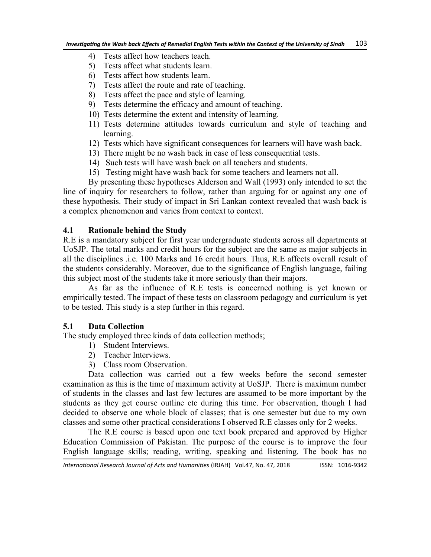- 4) Tests affect how teachers teach.
- 5) Tests affect what students learn.
- 6) Tests affect how students learn.
- 7) Tests affect the route and rate of teaching.
- 8) Tests affect the pace and style of learning.
- 9) Tests determine the efficacy and amount of teaching.
- 10) Tests determine the extent and intensity of learning.
- 11) Tests determine attitudes towards curriculum and style of teaching and learning.
- 12) Tests which have significant consequences for learners will have wash back.
- 13) There might be no wash back in case of less consequential tests.
- 14) Such tests will have wash back on all teachers and students.
- 15) Testing might have wash back for some teachers and learners not all.
- By presenting these hypotheses Alderson and Wall (1993) only intended to set the line of inquiry for researchers to follow, rather than arguing for or against any one of these hypothesis. Their study of impact in Sri Lankan context revealed that wash back is

## **4.1 Rationale behind the Study**

R.E is a mandatory subject for first year undergraduate students across all departments at UoSJP. The total marks and credit hours for the subject are the same as major subjects in all the disciplines .i.e. 100 Marks and 16 credit hours. Thus, R.E affects overall result of the students considerably. Moreover, due to the significance of English language, failing this subject most of the students take it more seriously than their majors.

As far as the influence of R.E tests is concerned nothing is yet known or empirically tested. The impact of these tests on classroom pedagogy and curriculum is yet to be tested. This study is a step further in this regard.

### **5.1 Data Collection**

The study employed three kinds of data collection methods;

a complex phenomenon and varies from context to context.

- 1) Student Interviews.
- 2) Teacher Interviews.
- 3) Class room Observation.

Data collection was carried out a few weeks before the second semester examination as this is the time of maximum activity at UoSJP. There is maximum number of students in the classes and last few lectures are assumed to be more important by the students as they get course outline etc during this time. For observation, though I had decided to observe one whole block of classes; that is one semester but due to my own classes and some other practical considerations I observed R.E classes only for 2 weeks.

The R.E course is based upon one text book prepared and approved by Higher Education Commission of Pakistan. The purpose of the course is to improve the four English language skills; reading, writing, speaking and listening. The book has no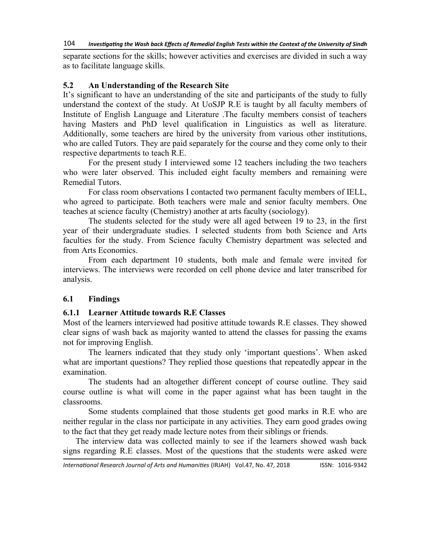separate sections for the skills; however activities and exercises are divided in such a way as to facilitate language skills.

### **5.2 An Understanding of the Research Site**

It's significant to have an understanding of the site and participants of the study to fully understand the context of the study. At UoSJP R.E is taught by all faculty members of Institute of English Language and Literature .The faculty members consist of teachers having Masters and PhD level qualification in Linguistics as well as literature. Additionally, some teachers are hired by the university from various other institutions, who are called Tutors. They are paid separately for the course and they come only to their respective departments to teach R.E.

For the present study I interviewed some 12 teachers including the two teachers who were later observed. This included eight faculty members and remaining were Remedial Tutors.

For class room observations I contacted two permanent faculty members of IELL, who agreed to participate. Both teachers were male and senior faculty members. One teaches at science faculty (Chemistry) another at arts faculty (sociology).

The students selected for the study were all aged between 19 to 23, in the first year of their undergraduate studies. I selected students from both Science and Arts faculties for the study. From Science faculty Chemistry department was selected and from Arts Economics.

From each department 10 students, both male and female were invited for interviews. The interviews were recorded on cell phone device and later transcribed for analysis.

### **6.1 Findings**

#### **6.1.1 Learner Attitude towards R.E Classes**

Most of the learners interviewed had positive attitude towards R.E classes. They showed clear signs of wash back as majority wanted to attend the classes for passing the exams not for improving English.

The learners indicated that they study only 'important questions'. When asked what are important questions? They replied those questions that repeatedly appear in the examination.

The students had an altogether different concept of course outline. They said course outline is what will come in the paper against what has been taught in the classrooms.

Some students complained that those students get good marks in R.E who are neither regular in the class nor participate in any activities. They earn good grades owing to the fact that they get ready made lecture notes from their siblings or friends.

The interview data was collected mainly to see if the learners showed wash back signs regarding R.E classes. Most of the questions that the students were asked were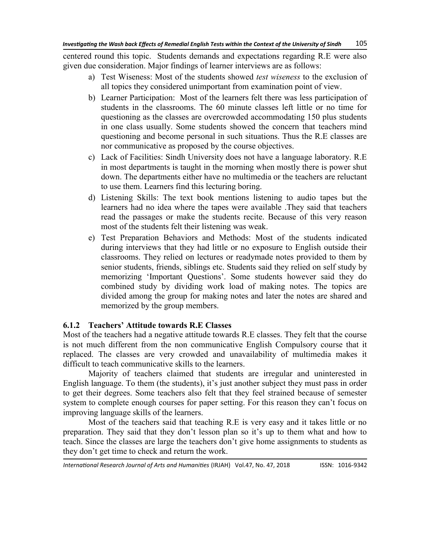centered round this topic. Students demands and expectations regarding R.E were also given due consideration. Major findings of learner interviews are as follows:

- a) Test Wiseness: Most of the students showed *test wiseness* to the exclusion of all topics they considered unimportant from examination point of view.
- b) Learner Participation: Most of the learners felt there was less participation of students in the classrooms. The 60 minute classes left little or no time for questioning as the classes are overcrowded accommodating 150 plus students in one class usually. Some students showed the concern that teachers mind questioning and become personal in such situations. Thus the R.E classes are nor communicative as proposed by the course objectives.
- c) Lack of Facilities: Sindh University does not have a language laboratory. R.E in most departments is taught in the morning when mostly there is power shut down. The departments either have no multimedia or the teachers are reluctant to use them. Learners find this lecturing boring.
- d) Listening Skills: The text book mentions listening to audio tapes but the learners had no idea where the tapes were available .They said that teachers read the passages or make the students recite. Because of this very reason most of the students felt their listening was weak.
- e) Test Preparation Behaviors and Methods: Most of the students indicated during interviews that they had little or no exposure to English outside their classrooms. They relied on lectures or readymade notes provided to them by senior students, friends, siblings etc. Students said they relied on self study by memorizing 'Important Questions'. Some students however said they do combined study by dividing work load of making notes. The topics are divided among the group for making notes and later the notes are shared and memorized by the group members.

## **6.1.2 Teachers' Attitude towards R.E Classes**

Most of the teachers had a negative attitude towards R.E classes. They felt that the course is not much different from the non communicative English Compulsory course that it replaced. The classes are very crowded and unavailability of multimedia makes it difficult to teach communicative skills to the learners.

Majority of teachers claimed that students are irregular and uninterested in English language. To them (the students), it's just another subject they must pass in order to get their degrees. Some teachers also felt that they feel strained because of semester system to complete enough courses for paper setting. For this reason they can't focus on improving language skills of the learners.

Most of the teachers said that teaching R.E is very easy and it takes little or no preparation. They said that they don't lesson plan so it's up to them what and how to teach. Since the classes are large the teachers don't give home assignments to students as they don't get time to check and return the work.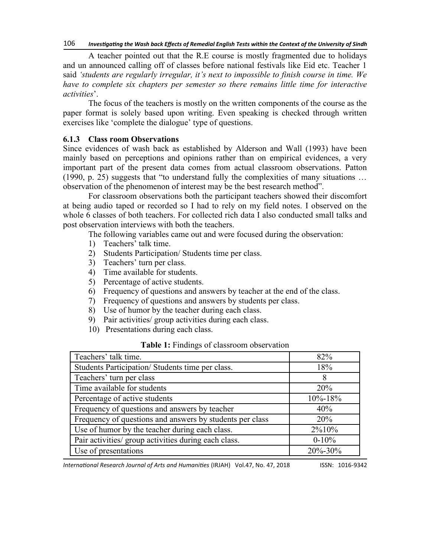A teacher pointed out that the R.E course is mostly fragmented due to holidays and un announced calling off of classes before national festivals like Eid etc. Teacher 1 said *‗students are regularly irregular, it's next to impossible to finish course in time. We have to complete six chapters per semester so there remains little time for interactive activities*'.

The focus of the teachers is mostly on the written components of the course as the paper format is solely based upon writing. Even speaking is checked through written exercises like 'complete the dialogue' type of questions.

#### **6.1.3 Class room Observations**

Since evidences of wash back as established by Alderson and Wall (1993) have been mainly based on perceptions and opinions rather than on empirical evidences, a very important part of the present data comes from actual classroom observations. Patton (1990, p. 25) suggests that "to understand fully the complexities of many situations  $\ldots$ observation of the phenomenon of interest may be the best research method".

For classroom observations both the participant teachers showed their discomfort at being audio taped or recorded so I had to rely on my field notes. I observed on the whole 6 classes of both teachers. For collected rich data I also conducted small talks and post observation interviews with both the teachers.

The following variables came out and were focused during the observation:

- 1) Teachers' talk time.
- 2) Students Participation/ Students time per class.
- 3) Teachers' turn per class.
- 4) Time available for students.
- 5) Percentage of active students.
- 6) Frequency of questions and answers by teacher at the end of the class.
- 7) Frequency of questions and answers by students per class.
- 8) Use of humor by the teacher during each class.
- 9) Pair activities/ group activities during each class.
- 10) Presentations during each class.

| Teachers' talk time.                                     | 82%           |
|----------------------------------------------------------|---------------|
| Students Participation/Students time per class.          | 18%           |
| Teachers' turn per class                                 | 8             |
| Time available for students                              | 20%           |
| Percentage of active students                            | $10\% - 18\%$ |
| Frequency of questions and answers by teacher            | 40%           |
| Frequency of questions and answers by students per class | 20%           |
| Use of humor by the teacher during each class.           | 2%10%         |
| Pair activities/ group activities during each class.     | $0-10%$       |
| Use of presentations                                     | 20%-30%       |

#### **Table 1:** Findings of classroom observation

*International Research Journal of Arts and Humanities* (IRJAH) Vol.47, No. 47, 2018 **ISSN: 1016-9342**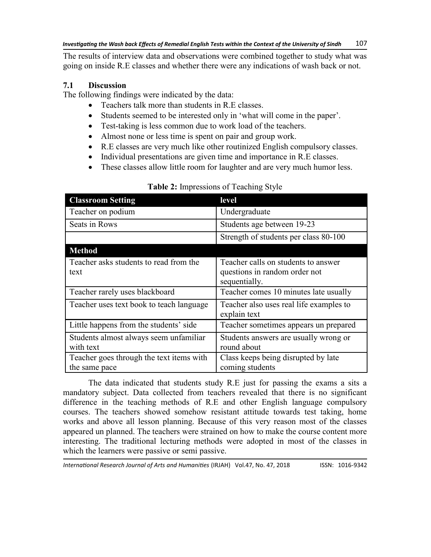The results of interview data and observations were combined together to study what was going on inside R.E classes and whether there were any indications of wash back or not.

## **7.1 Discussion**

The following findings were indicated by the data:

- Teachers talk more than students in R.E classes.
- Students seemed to be interested only in 'what will come in the paper'.
- Test-taking is less common due to work load of the teachers.
- Almost none or less time is spent on pair and group work.
- R.E classes are very much like other routinized English compulsory classes.
- Individual presentations are given time and importance in R.E classes.
- These classes allow little room for laughter and are very much humor less.

| <b>Classroom Setting</b>                                  | level                                                                                 |
|-----------------------------------------------------------|---------------------------------------------------------------------------------------|
| Teacher on podium                                         | Undergraduate                                                                         |
| Seats in Rows                                             | Students age between 19-23                                                            |
|                                                           | Strength of students per class 80-100                                                 |
| <b>Method</b>                                             |                                                                                       |
| Teacher asks students to read from the<br>text            | Teacher calls on students to answer<br>questions in random order not<br>sequentially. |
| Teacher rarely uses blackboard                            | Teacher comes 10 minutes late usually                                                 |
| Teacher uses text book to teach language                  | Teacher also uses real life examples to<br>explain text                               |
| Little happens from the students' side                    | Teacher sometimes appears un prepared                                                 |
| Students almost always seem unfamiliar<br>with text       | Students answers are usually wrong or<br>round about                                  |
| Teacher goes through the text items with<br>the same pace | Class keeps being disrupted by late<br>coming students                                |

## **Table 2:** Impressions of Teaching Style

The data indicated that students study R.E just for passing the exams a sits a mandatory subject. Data collected from teachers revealed that there is no significant difference in the teaching methods of R.E and other English language compulsory courses. The teachers showed somehow resistant attitude towards test taking, home works and above all lesson planning. Because of this very reason most of the classes appeared un planned. The teachers were strained on how to make the course content more interesting. The traditional lecturing methods were adopted in most of the classes in which the learners were passive or semi passive.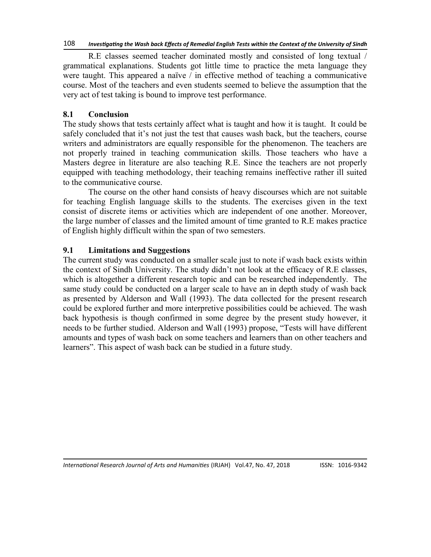R.E classes seemed teacher dominated mostly and consisted of long textual / grammatical explanations. Students got little time to practice the meta language they were taught. This appeared a naïve / in effective method of teaching a communicative course. Most of the teachers and even students seemed to believe the assumption that the very act of test taking is bound to improve test performance.

## **8.1 Conclusion**

The study shows that tests certainly affect what is taught and how it is taught. It could be safely concluded that it's not just the test that causes wash back, but the teachers, course writers and administrators are equally responsible for the phenomenon. The teachers are not properly trained in teaching communication skills. Those teachers who have a Masters degree in literature are also teaching R.E. Since the teachers are not properly equipped with teaching methodology, their teaching remains ineffective rather ill suited to the communicative course.

The course on the other hand consists of heavy discourses which are not suitable for teaching English language skills to the students. The exercises given in the text consist of discrete items or activities which are independent of one another. Moreover, the large number of classes and the limited amount of time granted to R.E makes practice of English highly difficult within the span of two semesters.

### **9.1 Limitations and Suggestions**

The current study was conducted on a smaller scale just to note if wash back exists within the context of Sindh University. The study didn't not look at the efficacy of R.E classes, which is altogether a different research topic and can be researched independently. The same study could be conducted on a larger scale to have an in depth study of wash back as presented by Alderson and Wall (1993). The data collected for the present research could be explored further and more interpretive possibilities could be achieved. The wash back hypothesis is though confirmed in some degree by the present study however, it needs to be further studied. Alderson and Wall (1993) propose, "Tests will have different amounts and types of wash back on some teachers and learners than on other teachers and learners". This aspect of wash back can be studied in a future study.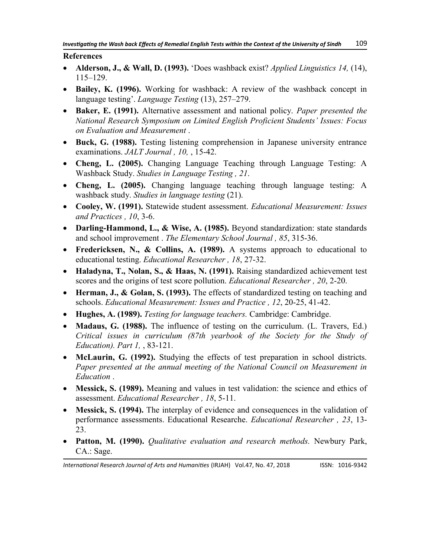### **References**

- **Alderson, J., & Wall, D. (1993).** 'Does washback exist? *Applied Linguistics 14*, (14), 115–129.
- **Bailey, K. (1996).** Working for washback: A review of the washback concept in language testing'. *Language Testing* (13), 257–279.
- **Baker, E. (1991).** Alternative assessment and national policy. *Paper presented the National Research Symposium on Limited English Proficient Students' Issues: Focus on Evaluation and Measurement* .
- **Buck, G. (1988).** Testing listening comprehension in Japanese university entrance examinations. *JALT Journal , 10,* , 15-42.
- **Cheng, L. (2005).** Changing Language Teaching through Language Testing: A Washback Study. *Studies in Language Testing , 21*.
- **Cheng, L. (2005).** Changing language teaching through language testing: A washback study. *Studies in language testing* (21).
- **Cooley, W. (1991).** Statewide student assessment. *Educational Measurement: Issues and Practices , 10*, 3-6.
- **Darling-Hammond, L., & Wise, A. (1985).** Beyond standardization: state standards and school improvement . *The Elementary School Journal , 85*, 315-36.
- **Fredericksen, N., & Collins, A. (1989).** A systems approach to educational to educational testing. *Educational Researcher , 18*, 27-32.
- **Haladyna, T., Nolan, S., & Haas, N. (1991).** Raising standardized achievement test scores and the origins of test score pollution. *Educational Researcher , 20*, 2-20.
- **Herman, J., & Golan, S. (1993).** The effects of standardized testing on teaching and schools. *Educational Measurement: Issues and Practice , 12*, 20-25, 41-42.
- **Hughes, A. (1989).** *Testing for language teachers.* Cambridge: Cambridge.
- **Madaus, G. (1988).** The influence of testing on the curriculum. (L. Travers, Ed.) *Critical issues in curriculum (87th yearbook of the Society for the Study of Education). Part 1,* , 83-121.
- **McLaurin, G. (1992).** Studying the effects of test preparation in school districts. *Paper presented at the annual meeting of the National Council on Measurement in Education* .
- **Messick, S. (1989).** Meaning and values in test validation: the science and ethics of assessment. *Educational Researcher , 18*, 5-11.
- **Messick, S. (1994).** The interplay of evidence and consequences in the validation of performance assessments. Educational Researche. *Educational Researcher , 23*, 13- 23.
- **Patton, M. (1990).** *Qualitative evaluation and research methods.* Newbury Park, CA.: Sage.